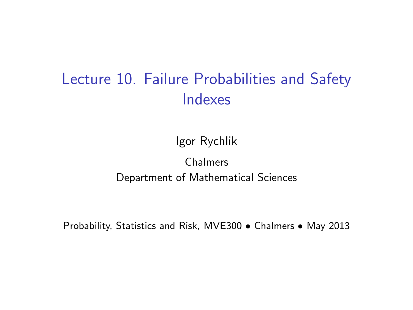# Lecture 10. Failure Probabilities and Safety Indexes

#### Igor Rychlik

#### Chalmers Department of Mathematical Sciences

Probability, Statistics and Risk, MVE300 • Chalmers • May 2013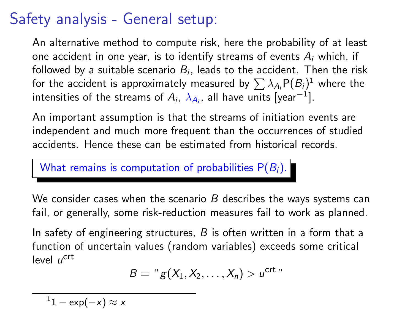## Safety analysis - General setup:

An alternative method to compute risk, here the probability of at least one accident in one year, is to identify streams of events  $A_i$  which, if followed by a suitable scenario  $B_i$ , leads to the accident. Then the risk for the accident is approximately measured by  $\sum \lambda_{A_i} \mathsf{P}(B_i)^1$  where the intensities of the streams of  $A_i$ ,  $\lambda_{A_i}$ , all have units [year $^{-1}$ ].

An important assumption is that the streams of initiation events are independent and much more frequent than the occurrences of studied accidents. Hence these can be estimated from historical records.

What remains is computation of probabilities  $P(B_i)$ .

We consider cases when the scenario  $B$  describes the ways systems can fail, or generally, some risk-reduction measures fail to work as planned.

In safety of engineering structures,  $B$  is often written in a form that a function of uncertain values (random variables) exceeds some critical level u<sup>crt</sup>

$$
B = "g(X_1, X_2, \ldots, X_n) > u^{crt\cdot n}
$$

 $^{-1}1-\exp(-x)\approx x$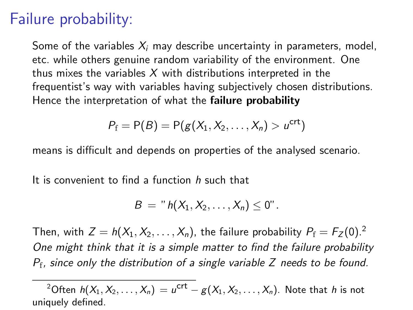## Failure probability:

Some of the variables  $X_i$  may describe uncertainty in parameters, model, etc. while others genuine random variability of the environment. One thus mixes the variables  $X$  with distributions interpreted in the frequentist's way with variables having subjectively chosen distributions. Hence the interpretation of what the failure probability

$$
P_{\mathrm{f}} = \mathsf{P}(B) = \mathsf{P}(g(X_1, X_2, \ldots, X_n) > u^{\mathrm{crt}})
$$

means is difficult and depends on properties of the analysed scenario.

It is convenient to find a function h such that

$$
B = "h(X_1, X_2, \ldots, X_n) \leq 0".
$$

Then, with  $Z = h(X_1, X_2, \ldots, X_n)$ , the failure probability  $P_f = F_Z(0)^2$ . One might think that it is a simple matter to find the failure probability  $P_{\rm f}$ , since only the distribution of a single variable Z needs to be found.

 $e^2$ Often  $h(X_1, X_2, \ldots, X_n) = u^{\text{crt}} - g(X_1, X_2, \ldots, X_n)$ . Note that  $h$  is not uniquely defined.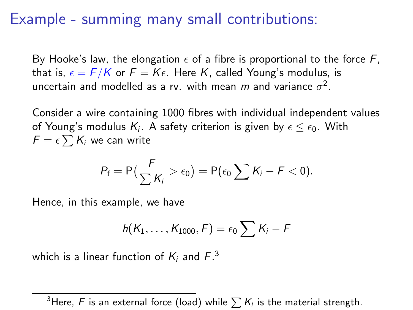#### Example - summing many small contributions:

By Hooke's law, the elongation  $\epsilon$  of a fibre is proportional to the force F, that is,  $\epsilon = F/K$  or  $F = K\epsilon$ . Here K, called Young's modulus, is uncertain and modelled as a rv. with mean  $m$  and variance  $\sigma^2$ .

Consider a wire containing 1000 fibres with individual independent values of Young's modulus  $K_i$ . A safety criterion is given by  $\epsilon \leq \epsilon_0$ . With  $\mathcal{F} = \epsilon \sum \mathcal{K}_i$  we can write

$$
P_{\rm f}=P\big(\frac{F}{\sum K_i}>\epsilon_0\big)=P(\epsilon_0\sum K_i-F<0).
$$

Hence, in this example, we have

$$
h(K_1,\ldots,K_{1000},F)=\epsilon_0\sum K_i-F
$$

which is a linear function of  $K_i$  and  $F.^3$ 

<sup>&</sup>lt;sup>3</sup>Here, F is an external force (load) while  $\sum K_i$  is the material strength.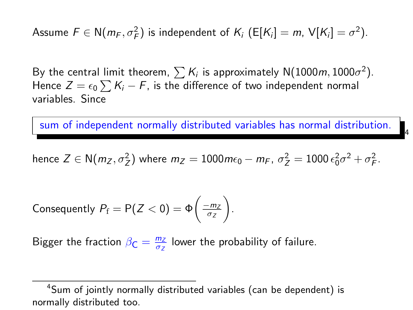Assume  $F \in N(m_F, \sigma_F^2)$  is independent of  $K_i$  (E[ $K_i$ ] = m,  $V[K_i] = \sigma^2$ ).

By the central limit theorem,  $\sum \mathcal{K}_i$  is approximately  $\mathsf{N}(1000m,1000\sigma^2).$ Hence  $Z = \epsilon_0 \sum K_i - F$ , is the difference of two independent normal variables. Since

sum of independent normally distributed variables has normal distribution.

4

hence  $Z \in N(m_Z, \sigma_Z^2)$  where  $m_Z = 1000 m\epsilon_0 - m_F$ ,  $\sigma_Z^2 = 1000 \epsilon_0^2 \sigma^2 + \sigma_F^2$ .

Consequently 
$$
P_f = P(Z < 0) = \Phi\left(\frac{-m_Z}{\sigma_Z}\right)
$$
.

Bigger the fraction  $\beta_C = \frac{m_Z}{\sigma_Z}$  lower the probability of failure.

<sup>&</sup>lt;sup>4</sup>Sum of jointly normally distributed variables (can be dependent) is normally distributed too.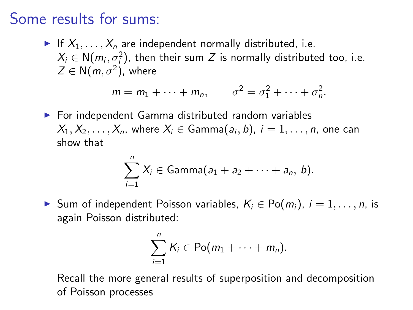## Some results for sums:

If  $X_1, \ldots, X_n$  are independent normally distributed, i.e.  $X_i \in N(m_i, \sigma_i^2)$ , then their sum Z is normally distributed too, i.e.  $Z \in \mathsf{N}(m, \sigma^2)$ , where

$$
m = m_1 + \cdots + m_n, \qquad \sigma^2 = \sigma_1^2 + \cdots + \sigma_n^2.
$$

 $\blacktriangleright$  For independent Gamma distributed random variables  $X_1, X_2, \ldots, X_n$ , where  $X_i \in \text{Gamma}(a_i, b)$ ,  $i = 1, \ldots, n$ , one can show that

$$
\sum_{i=1}^n X_i \in \text{Gamma}(a_1 + a_2 + \cdots + a_n, b).
$$

► Sum of independent Poisson variables,  $K_i \in Po(m_i)$ ,  $i = 1, \ldots, n$ , is again Poisson distributed:

$$
\sum_{i=1}^n K_i \in Po(m_1 + \cdots + m_n).
$$

Recall the more general results of superposition and decomposition of Poisson processes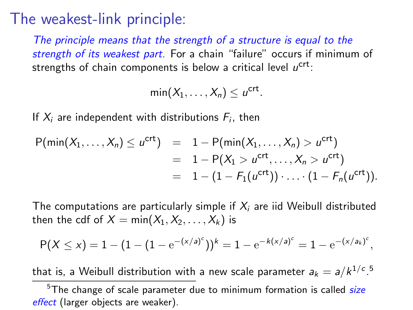#### The weakest-link principle:

The principle means that the strength of a structure is equal to the strength of its weakest part. For a chain "failure" occurs if minimum of strengths of chain components is below a critical level  $u^{\rm crt}$ :

 $min(X_1, ..., X_n) \leq u^{crt}.$ 

If  $X_i$  are independent with distributions  $F_i$ , then

$$
P(\min(X_1,...,X_n) \le u^{\text{crt}}) = 1 - P(\min(X_1,...,X_n) > u^{\text{crt}})
$$
  
= 1 - P(X\_1 > u^{\text{crt}},...,X\_n > u^{\text{crt}})  
= 1 - (1 - F\_1(u^{\text{crt}})) \cdot ... \cdot (1 - F\_n(u^{\text{crt}})).

The computations are particularly simple if  $X_i$  are iid Weibull distributed then the cdf of  $X = min(X_1, X_2, ..., X_k)$  is

$$
P(X \le x) = 1 - (1 - (1 - e^{-(x/a)^c}))^k = 1 - e^{-k(x/a)^c} = 1 - e^{-(x/a_k)^c},
$$

that is, a Weibull distribution with a new scale parameter  $a_k = a/k^{1/c}$  <sup>5</sup>

 $5$ The change of scale parameter due to minimum formation is called  $size$ effect (larger objects are weaker).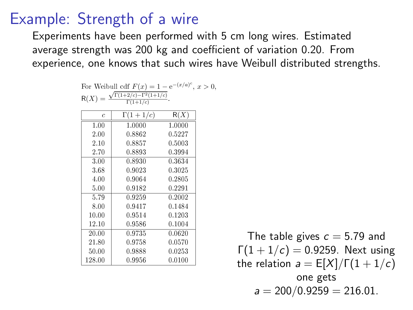#### Example: Strength of a wire

Experiments have been performed with 5 cm long wires. Estimated average strength was 200 kg and coefficient of variation 0.20. From experience, one knows that such wires have Weibull distributed strengths.

> For Weibull cdf  $F(x) = 1 - e^{-(x/a)^c}$ ,  $x > 0$ ,  $R(X) = \frac{\sqrt{\Gamma(1+2/c)-\Gamma^2(1+1/c)}}{\Gamma(1+1/c)}$ .

| $\epsilon$ | $\Gamma(1+1/c)$ | R(X)   |
|------------|-----------------|--------|
| 1.00       | 1.0000          | 1.0000 |
| 2.00       | 0.8862          | 0.5227 |
| 2.10       | 0.8857          | 0.5003 |
| 2.70       | 0.8893          | 0.3994 |
| 3.00       | 0.8930          | 0.3634 |
| 3.68       | 0.9023          | 0.3025 |
| 4.00       | 0.9064          | 0.2805 |
| 5.00       | 0.9182          | 0.2291 |
| 5.79       | 0.9259          | 0.2002 |
| 8.00       | 0.9417          | 0.1484 |
| 10.00      | 0.9514          | 0.1203 |
| 12.10      | 0.9586          | 0.1004 |
| 20.00      | 0.9735          | 0.0620 |
| 21.80      | 0.9758          | 0.0570 |
| 50.00      | 0.9888          | 0.0253 |
| 128.00     | 0.9956          | 0.0100 |

The table gives  $c = 5.79$  and  $Γ(1 + 1/c) = 0.9259$ . Next using the relation  $a = E[X]/\Gamma(1 + 1/c)$ one gets  $a = 200/0.9259 = 216.01$ .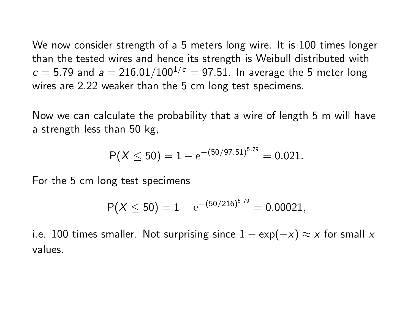We now consider strength of a 5 meters long wire. It is 100 times longer than the tested wires and hence its strength is Weibull distributed with  $c = 5.79$  and  $a = 216.01/100^{1/c} = 97.51$ . In average the 5 meter long wires are 2.22 weaker than the 5 cm long test specimens.

Now we can calculate the probability that a wire of length 5 m will have a strength less than 50 kg,

$$
P(X \le 50) = 1 - e^{-(50/97.51)^{5.79}} = 0.021.
$$

For the 5 cm long test specimens

$$
P(X \leq 50) = 1 - e^{-(50/216)^{5.79}} = 0.00021,
$$

i.e. 100 times smaller. Not surprising since  $1 - \exp(-x) \approx x$  for small x values.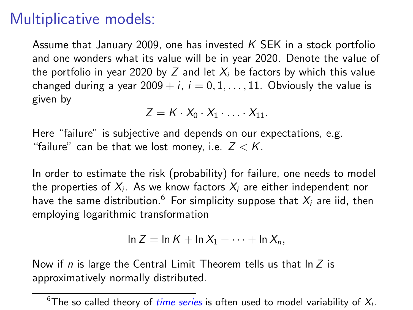## Multiplicative models:

Assume that January 2009, one has invested  $K$  SEK in a stock portfolio and one wonders what its value will be in year 2020. Denote the value of the portfolio in year 2020 by Z and let  $X_i$  be factors by which this value changed during a year  $2009 + i$ ,  $i = 0, 1, \ldots, 11$ . Obviously the value is given by

$$
Z=K\cdot X_0\cdot X_1\cdot\ldots\cdot X_{11}.
$$

Here "failure" is subjective and depends on our expectations, e.g. "failure" can be that we lost money, i.e.  $Z < K$ .

In order to estimate the risk (probability) for failure, one needs to model the properties of  $X_i$ . As we know factors  $X_i$  are either independent nor have the same distribution.<sup>6</sup> For simplicity suppose that  $X_i$  are iid, then employing logarithmic transformation

$$
\ln Z = \ln K + \ln X_1 + \cdots + \ln X_n,
$$

Now if n is large the Central Limit Theorem tells us that  $\ln Z$  is approximatively normally distributed.

<sup>&</sup>lt;sup>6</sup>The so called theory of *time series* is often used to model variability of  $X_i$ .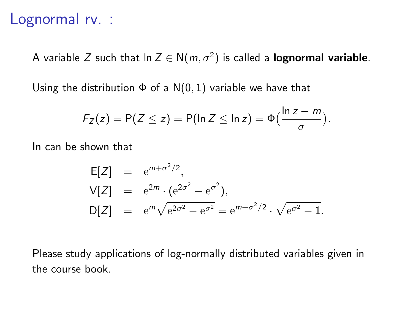#### Lognormal rv. :

A variable Z such that  $\ln Z \in N(m,\sigma^2)$  is called a **lognormal variable**.

Using the distribution  $\Phi$  of a N(0, 1) variable we have that

$$
F_Z(z) = P(Z \leq z) = P(\ln Z \leq \ln z) = \Phi\left(\frac{\ln z - m}{\sigma}\right).
$$

In can be shown that

$$
E[Z] = e^{m+\sigma^2/2},
$$
  
\n
$$
V[Z] = e^{2m} \cdot (e^{2\sigma^2} - e^{\sigma^2}),
$$
  
\n
$$
D[Z] = e^m \sqrt{e^{2\sigma^2} - e^{\sigma^2}} = e^{m+\sigma^2/2} \cdot \sqrt{e^{\sigma^2} - 1}.
$$

Please study applications of log-normally distributed variables given in the course book.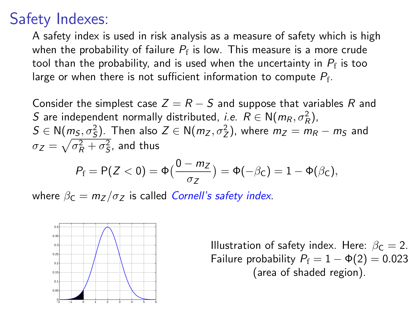## Safety Indexes:

A safety index is used in risk analysis as a measure of safety which is high when the probability of failure  $P_{\mathrm{f}}$  is low. This measure is a more crude tool than the probability, and is used when the uncertainty in  $P_{\rm f}$  is too large or when there is not sufficient information to compute  $P_{\mathrm{f}}$ .

Consider the simplest case  $Z = R - S$  and suppose that variables R and S are independent normally distributed, i.e.  $R \in N(m_R, \sigma_R^2)$ ,  $S \in N(m_5, \sigma_S^2)$ . Then also  $Z \in N(m_Z, \sigma_Z^2)$ , where  $m_Z = m_R - m_S$  and  $\sigma_Z = \sqrt{\sigma_R^2 + \sigma_S^2}$ , and thus

$$
P_{\rm f}=P(Z<0)=\Phi\big(\frac{0-m_Z}{\sigma_Z}\big)=\Phi(-\beta_{\rm C})=1-\Phi(\beta_{\rm C}),
$$

where  $\beta_c = m_z / \sigma_z$  is called *Cornell's safety index*.



Illustration of safety index. Here:  $\beta_c = 2$ . Failure probability  $P_f = 1 - \Phi(2) = 0.023$ (area of shaded region).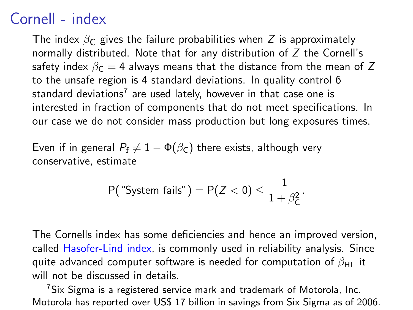## Cornell - index

The index  $\beta_C$  gives the failure probabilities when Z is approximately normally distributed. Note that for any distribution of Z the Cornell's safety index  $\beta_c = 4$  always means that the distance from the mean of Z to the unsafe region is 4 standard deviations. In quality control 6 standard deviations $^7$  are used lately, however in that case one is interested in fraction of components that do not meet specifications. In our case we do not consider mass production but long exposures times.

Even if in general  $P_f \neq 1 - \Phi(\beta_C)$  there exists, although very conservative, estimate

P("System fails") = P(Z < 0) 
$$
\leq \frac{1}{1 + \beta_C^2}
$$
.

The Cornells index has some deficiencies and hence an improved version, called Hasofer-Lind index, is commonly used in reliability analysis. Since quite advanced computer software is needed for computation of  $\beta_{HI}$  it will not be discussed in details.

 $7$ Six Sigma is a registered service mark and trademark of Motorola, Inc. Motorola has reported over US\$ 17 billion in savings from Six Sigma as of 2006.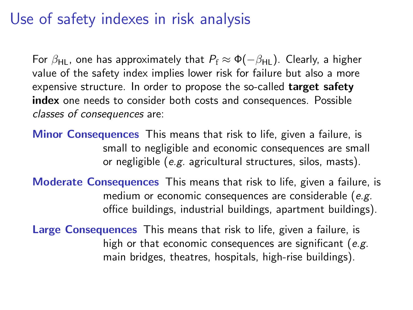#### Use of safety indexes in risk analysis

For  $\beta_{HL}$ , one has approximately that  $P_f \approx \Phi(-\beta_{HL})$ . Clearly, a higher value of the safety index implies lower risk for failure but also a more expensive structure. In order to propose the so-called **target safety** index one needs to consider both costs and consequences. Possible classes of consequences are:

Minor Consequences This means that risk to life, given a failure, is small to negligible and economic consequences are small or negligible (e.g. agricultural structures, silos, masts).

Moderate Consequences This means that risk to life, given a failure, is medium or economic consequences are considerable (e.g. office buildings, industrial buildings, apartment buildings).

Large Consequences This means that risk to life, given a failure, is high or that economic consequences are significant (e.g. main bridges, theatres, hospitals, high-rise buildings).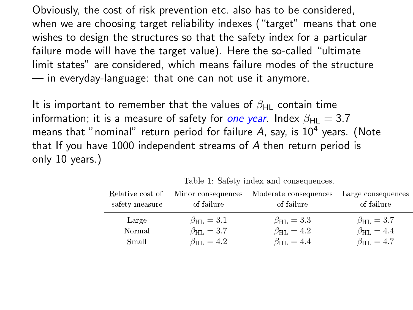Obviously, the cost of risk prevention etc. also has to be considered, when we are choosing target reliability indexes ("target" means that one wishes to design the structures so that the safety index for a particular failure mode will have the target value). Here the so-called "ultimate limit states" are considered, which means failure modes of the structure — in everyday-language: that one can not use it anymore.

It is important to remember that the values of  $\beta_{\rm HI}$  contain time information; it is a measure of safety for one year. Index  $\beta_{HL} = 3.7$ means that "nominal" return period for failure  $A$ , say, is  $10^4$  years. (Note that If you have 1000 independent streams of A then return period is only 10 years.)

| Relative cost of | Minor consequences    | Moderate consequences | Large consequences    |
|------------------|-----------------------|-----------------------|-----------------------|
| safety measure   | of failure            | of failure            | of failure            |
| Large            | $\beta_{\rm HL}=3.1$  | $\beta_{\rm HI.}=3.3$ | $\beta_{\rm HI.}=3.7$ |
| Normal           | $\beta_{\rm HL}=3.7$  | $\beta_{\rm HI.}=4.2$ | $\beta_{\rm HL}=4.4$  |
| Small            | $\beta_{\rm HI.}=4.2$ | $\beta_{\rm HI.}=4.4$ | $\beta_{\rm HI.}=4.7$ |

Table 1: Safety index and consequences.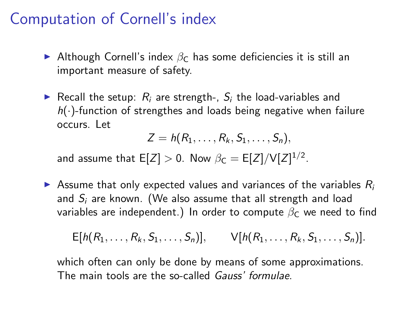## Computation of Cornell's index

- Although Cornell's index  $\beta_C$  has some deficiencies it is still an important measure of safety.
- Recall the setup:  $R_i$  are strength-,  $S_i$  the load-variables and  $h(\cdot)$ -function of strengthes and loads being negative when failure occurs. Let

$$
Z = h(R_1,\ldots,R_k,S_1,\ldots,S_n),
$$

and assume that  $\mathsf{E}[Z]>0.$  Now  $\beta_{\mathsf{C}}=\mathsf{E}[Z]/\mathsf{V}[Z]^{1/2}.$ 

Assume that only expected values and variances of the variables  $R_i$ and  $S_i$  are known. (We also assume that all strength and load variables are independent.) In order to compute  $\beta_c$  we need to find

$$
E[h(R_1,\ldots,R_k,S_1,\ldots,S_n)], \qquad V[h(R_1,\ldots,R_k,S_1,\ldots,S_n)].
$$

which often can only be done by means of some approximations. The main tools are the so-called Gauss' formulae.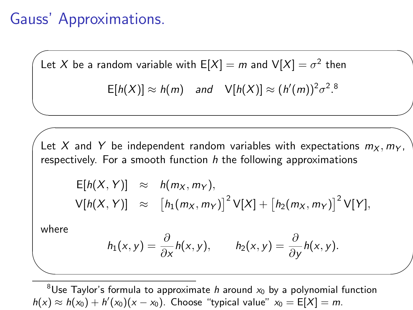## Gauss' Approximations.

Let  $X$  be a random variable with  $\mathsf{E}[X] = m$  and  $\mathsf{V}[X] = \sigma^2$  then

 $E[h(X)] \approx h(m)$  and  $V[h(X)] \approx (h'(m))^2 \sigma^2$ .<sup>8</sup>

Let X and Y be independent random variables with expectations  $m_X, m_Y$ , respectively. For a smooth function  $h$  the following approximations

$$
E[h(X, Y)] \approx h(m_X, m_Y),
$$
  
\n
$$
V[h(X, Y)] \approx [h_1(m_X, m_Y)]^2 V[X] + [h_2(m_X, m_Y)]^2 V[Y],
$$

where

✫

 $\sqrt{\phantom{a}}$ 

 $\overline{\phantom{a}}$ 

✬

$$
h_1(x,y)=\frac{\partial}{\partial x}h(x,y), \qquad h_2(x,y)=\frac{\partial}{\partial y}h(x,y).
$$

<sup>8</sup>Use Taylor's formula to approximate h around  $x_0$  by a polynomial function  $h(x) \approx h(x_0) + h'(x_0)(x - x_0)$ . Choose "typical value"  $x_0 = E[X] = m$ .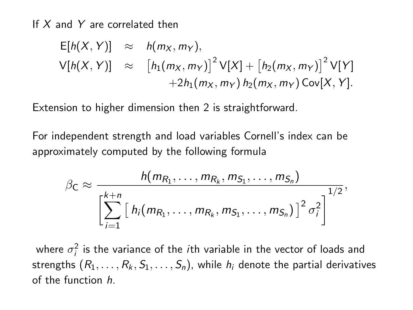If  $X$  and  $Y$  are correlated then

$$
E[h(X, Y)] \approx h(m_X, m_Y),
$$
  
\n
$$
V[h(X, Y)] \approx [h_1(m_X, m_Y)]^2 V[X] + [h_2(m_X, m_Y)]^2 V[Y]
$$
  
\n
$$
+2h_1(m_X, m_Y) h_2(m_X, m_Y) Cov[X, Y].
$$

Extension to higher dimension then 2 is straightforward.

For independent strength and load variables Cornell's index can be approximately computed by the following formula

$$
\beta_{\mathsf{C}} \approx \frac{h(m_{R_1}, \ldots, m_{R_k}, m_{S_1}, \ldots, m_{S_n})}{\left[\sum_{i=1}^{k+n} \left[h_i(m_{R_1}, \ldots, m_{R_k}, m_{S_1}, \ldots, m_{S_n})\right]^2 \sigma_i^2\right]^{1/2}},
$$

where  $\sigma_i^2$  is the variance of the *i*th variable in the vector of loads and strengths  $(R_1, \ldots, R_k, S_1, \ldots, S_n)$ , while  $h_i$  denote the partial derivatives of the function h.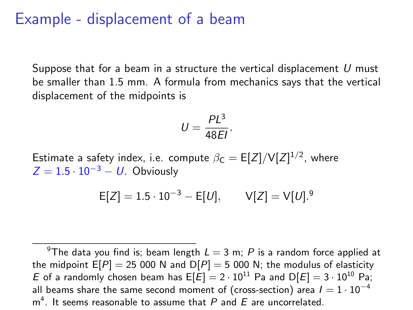#### Example - displacement of a beam

Suppose that for a beam in a structure the vertical displacement  $U$  must be smaller than 1.5 mm. A formula from mechanics says that the vertical displacement of the midpoints is

$$
U=\frac{PL^3}{48EI}.
$$

Estimate a safety index, i.e. compute  $\beta_{\mathsf{C}} = {\mathsf{E}}[Z]/\mathsf{V}[Z]^{1/2}$ , where  $Z = 1.5 \cdot 10^{-3} - U$ . Obviously

$$
E[Z] = 1.5 \cdot 10^{-3} - E[U], \qquad V[Z] = V[U].^9
$$

<sup>9</sup>The data you find is; beam length  $L = 3$  m; P is a random force applied at the midpoint  $E[P] = 25 000$  N and  $D[P] = 5 000$  N; the modulus of elasticity E of a randomly chosen beam has  $E[E] = 2 \cdot 10^{11}$  Pa and  $D[E] = 3 \cdot 10^{10}$  Pa; all beams share the same second moment of (cross-section) area  $I = 1 \cdot 10^{-4}$  $m^4$ . It seems reasonable to assume that  $P$  and  $E$  are uncorrelated.